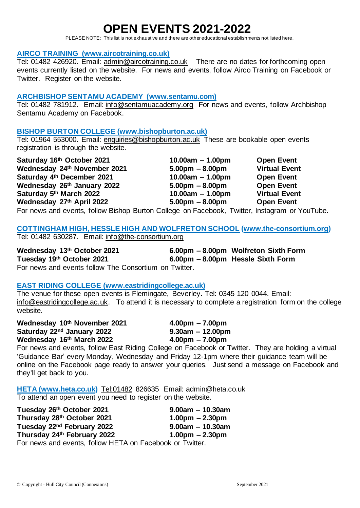# **OPEN EVENTS 2021-2022**

PLEASE NOTE: This list is not exhaustive and there are other educational establishments not listed here.

#### **AIRCO TRAINING [\(www.aircotraining.co.uk\)](http://www.aircotraining.co.uk/)**

Tel: 01482 426920. Email: [admin@aircotraining.co.uk](mailto:admin@aircotraining.co.uk) There are no dates for forthcoming open events currently listed on the website. For news and events, follow Airco Training on Facebook or Twitter. Register on the website.

### **ARCHBISHOP SENTAMU ACADEMY [\(www.sentamu.com\)](http://www.sentamu.com/)**

Tel: 01482 781912. Email: [info@sentamuacademy.org](mailto:info@sentamuacademy.org) For news and events, follow Archbishop Sentamu Academy on Facebook.

#### **BISHOP BURTON COLLEGE (www.bishopburton.ac.uk)**

Tel: 01964 553000. Email: [enquiries@bishopburton.ac.uk](mailto:enquiries@bishopburton.ac.uk) These are bookable open events registration is through the website.

**Saturday 16th October 2021 10.00am – 1.00pm Open Event Wednesday 24th November 2021 5.00pm – 8.00pm Virtual Event Saturday 4th December 2021 10.00am – 1.00pm Open Event Wednesday 26th January 2022 5.00pm – 8.00pm Open Event Saturday 5th March 2022 10.00am – 1.00pm Virtual Event Wednesday 27th April 2022 5.00pm – 8.00pm Open Event**

For news and events, follow Bishop Burton College on Facebook, Twitter, Instagram or YouTube.

#### **COTTINGHAM HIGH, HESSLE HIGH AND WOLFRETON SCHOOL [\(www.the-consortium.org\)](http://www.the-consortium.org/)** Tel: 01482 630287. Email: [info@the-consortium.org](mailto:info@the-consortium.org)

**Wednesday 13th October 2021 6.00pm – 8.00pm Wolfreton Sixth Form Tuesday 19th October 2021 6.00pm – 8.00pm Hessle Sixth Form** For news and events follow The Consortium on Twitter.

### **EAST RIDING COLLEGE [\(www.eastridingcollege.ac.uk\)](http://www.eastridingcollege.ac.uk/)**

The venue for these open events is Flemingate, Beverley. Tel: 0345 120 0044. Email: [info@eastridingcollege.ac.uk.](mailto:info@eastridingcollege.ac.uk) To attend it is necessary to complete a registration form on the college website.

**Wednesday 10th November 2021 4.00pm – 7.00pm Saturday 22nd January 2022 9.30am – 12.00pm Wednesday 16th March 2022 4.00pm – 7.00pm**

For news and events, follow East Riding College on Facebook or Twitter. They are holding a virtual 'Guidance Bar' every Monday, Wednesday and Friday 12-1pm where their guidance team will be online on the Facebook page ready to answer your queries. Just send a message on Facebook and they'll get back to you.

**HETA [\(www.heta.co.uk\)](http://www.heta.co.uk/)** [Tel:01482](tel:01482) 826635 Email: admin@heta.co.uk To attend an open event you need to register on the website.

| Tuesday 26th October 2021                                | $9.00am - 10.30am$ |
|----------------------------------------------------------|--------------------|
| Thursday 28th October 2021                               | $1.00pm - 2.30pm$  |
| Tuesday 22 <sup>nd</sup> February 2022                   | $9.00am - 10.30am$ |
| Thursday 24th February 2022                              | $1.00pm - 2.30pm$  |
| For news and events, follow HETA on Facebook or Twitter. |                    |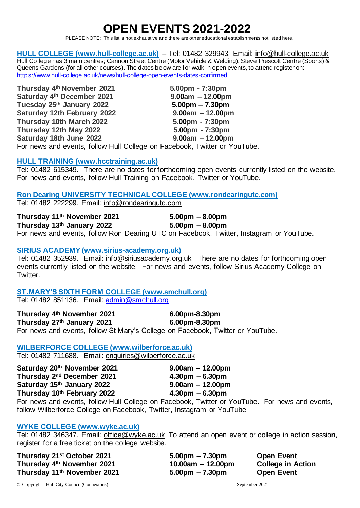# **OPEN EVENTS 2021-2022**

PLEASE NOTE: This list is not exhaustive and there are other educational establishments not listed here.

**HULL COLLEGE [\(www.hull-college.ac.uk\)](http://www.hull-college.ac.uk/)** – Tel: 01482 329943. Email: [info@hull-college.ac.uk](mailto:info@hull-college.ac.uk) Hull College has 3 main centres; Cannon Street Centre (Motor Vehicle & Welding), Steve Prescott Centre (Sports) & Queens Gardens (for all other courses). The dates below are for walk-in open events, to attend register on: <https://www.hull-college.ac.uk/news/hull-college-open-events-dates-confirmed>

**Thursday 4th November 2021 5.00pm - 7:30pm Saturday 4th December 2021 9.00am – 12.00pm Tuesday 25<sup>th</sup> January 2022 Saturday 12th February 2022 9.00am – 12.00pm Thursday 10th March 2022 5.00pm - 7:30pm Thursday 12th May 2022 5.00pm - 7:30pm Saturday 18th June 2022 9.00am – 12.00pm**

For news and events, follow Hull College on Facebook, Twitter or YouTube.

#### **HULL TRAINING [\(www.hcctraining.ac.uk\)](http://www.hcctraining.ac.uk/)**

Tel: 01482 615349. There are no dates for forthcoming open events currently listed on the website. For news and events, follow Hull Training on Facebook, Twitter or YouTube.

#### **Ron Dearing UNIVERSITY TECHNICAL COLLEGE [\(www.rondearingutc.com\)](http://www.rondearingutc.com/)**

Tel: 01482 222299. Email: [info@rondearingutc.com](mailto:info@rondearingutc.com)

| Thursday 11th November 2021 | $5.00 \text{pm} - 8.00 \text{pm}$                                                |
|-----------------------------|----------------------------------------------------------------------------------|
| Thursday 13th January 2022  | $5.00 \text{pm} - 8.00 \text{pm}$                                                |
|                             | For news and events follow Ron Dearing LITC on Eacebook Twitter Instagram or You |

# For news and events, follow Ron Dearing UTC on Facebook, Twitter, Instagram or YouTube.

#### **SIRIUS ACADEMY [\(www.sirius-academy.org.uk\)](http://www.sirius-academy.org.uk/)**

Tel: 01482 352939. Email: [info@siriusacademy.org.uk](mailto:info@siriusacademy.org.uk) There are no dates for forthcoming open events currently listed on the website. For news and events, follow Sirius Academy College on Twitter.

#### **ST.MARY'S SIXTH FORM COLLEGE [\(www.smchull.org\)](http://www.smchull.org/)** Tel: 01482 851136. Email: [admin@smchull.org](mailto:admin@smchull.org)

**Thursday 4th November 2021 6.00pm-8.30pm Thursday 27th January 2021 6.00pm-8.30pm** For news and events, follow St Mary's College on Facebook, Twitter or YouTube.

### **WILBERFORCE COLLEGE [\(www.wilberforce.ac.uk\)](http://www.wilberforce.ac.uk/)**

Tel: 01482 711688. Email: [enquiries@wilberforce.ac.uk](mailto:enquiries@wilberforce.ac.uk)

| Saturday 20th November 2021            |
|----------------------------------------|
| Thursday 2 <sup>nd</sup> December 2021 |
| Saturday 15th January 2022             |
| Thursday 10th February 2022            |
|                                        |

For news and events, follow Hull College on Facebook, Twitter or YouTube. For news and events, follow Wilberforce College on Facebook, Twitter, Instagram or YouTube

## **WYKE COLLEGE [\(www.wyke.ac.uk\)](http://www.wyke.ac.uk/)**

Tel: 01482 346347. Email: [office@wyke.ac.uk](mailto:office@wyke.ac.uk) To attend an open event or college in action session, register for a free ticket on the college website.

**Thursday 21st October 2021 5.00pm – 7.30pm Open Event Thursday 4th November 2021 10.00am – 12.00pm College in Action Thursday 11th November 2021 5.00pm – 7.30pm Open Event**

**Saturday 20th November 2021 9.00am – 12.00pm Thursday 2nd December 2021 4.30pm – 6.30pm Saturday 15th January 2022 9.00am – 12.00pm Thursday 10th February 2022 4.30pm – 6.30pm** 

© Copyright - Hull City Council (Connexions) September 2021